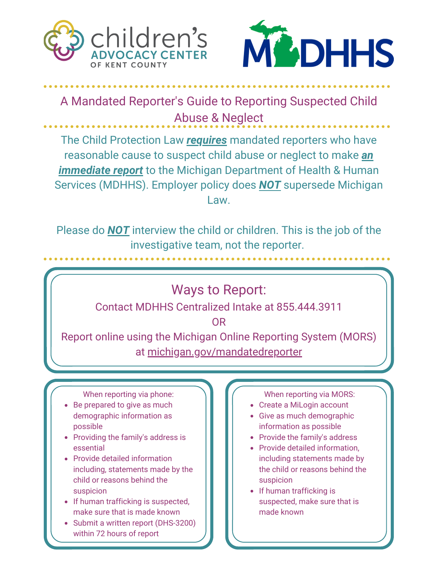



A Mandated Reporter's Guide to Reporting Suspected Child Abuse & Neglect

The Child Protection Law *requires* mandated reporters who have reasonable cause to suspect child abuse or neglect to make *an immediate report* to the Michigan Department of Health & Human Services (MDHHS). Employer policy does *NOT* supersede Michigan Law.

Please do *NOT* interview the child or children. This is the job of the investigative team, not the reporter.

Ways to Report:

Contact MDHHS Centralized Intake at 855.444.3911

OR

Report online using the Michigan Online Reporting System (MORS) at michigan.gov/mandatedreporter

When reporting via phone:

- Be prepared to give as much demographic information as possible
- Providing the family's address is essential
- Provide detailed information including, statements made by the child or reasons behind the suspicion
- If human trafficking is suspected, make sure that is made known
- Submit a written report (DHS-3200) within 72 hours of report

When reporting via MORS:

- Create a MiLogin account
- Give as much demographic information as possible
- Provide the family's address
- Provide detailed information, including statements made by the child or reasons behind the suspicion
- If human trafficking is suspected, make sure that is made known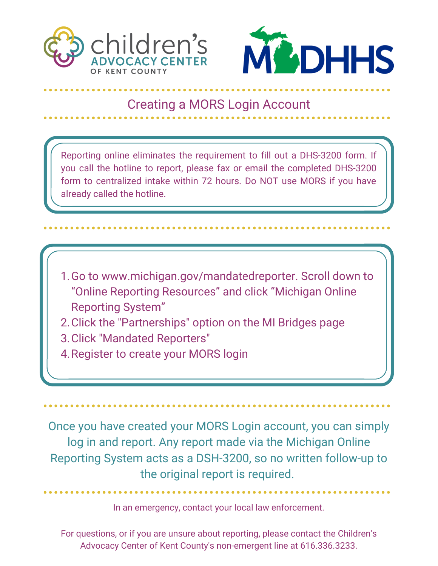



## Creating a MORS Login Account

Reporting online eliminates the requirement to fill out a DHS-3200 form. If you call the hotline to report, please fax or email the completed DHS-3200 form to centralized intake within 72 hours. Do NOT use MORS if you have already called the hotline.

- 1. Go to www.michigan.gov/mandatedreporter. Scroll down to "Online Reporting Resources" and click "Michigan Online Reporting System"
- Click the "Partnerships" option on the MI Bridges page 2.
- 3. Click "Mandated Reporters"
- 4. Register to create your MORS login

Once you have created your MORS Login account, you can simply log in and report. Any report made via the Michigan Online Reporting System acts as a DSH-3200, so no written follow-up to the original report is required.

In an emergency, contact your local law enforcement.

For questions, or if you are unsure about reporting, please contact the Children's Advocacy Center of Kent County's non-emergent line at 616.336.3233.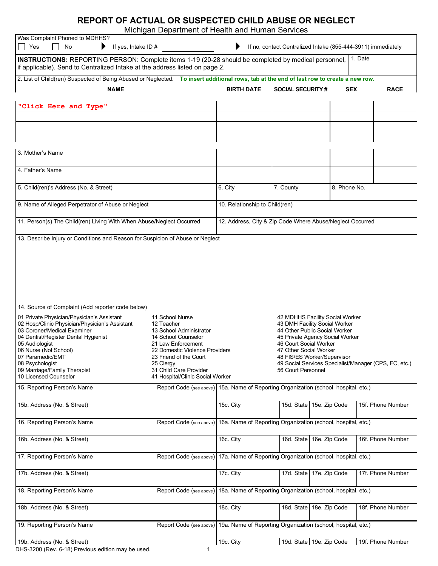## **REPORT OF ACTUAL OR SUSPECTED CHILD ABUSE OR NEGLECT**

Michigan Department of Health and Human Services

| <b>Mongan Doparanont or Hoann and Haman Corvicco</b><br>Was Complaint Phoned to MDHHS?<br>Yes<br>No<br>If yes, Intake ID $#$<br>▶<br>If no, contact Centralized Intake (855-444-3911) immediately                                                                                                                                                                                                                                                                                                                                                              |                                                                                      |                                                                                                                                                                                                                                                                                                        |                                                           |                         |                                                              |            |                   |  |  |
|----------------------------------------------------------------------------------------------------------------------------------------------------------------------------------------------------------------------------------------------------------------------------------------------------------------------------------------------------------------------------------------------------------------------------------------------------------------------------------------------------------------------------------------------------------------|--------------------------------------------------------------------------------------|--------------------------------------------------------------------------------------------------------------------------------------------------------------------------------------------------------------------------------------------------------------------------------------------------------|-----------------------------------------------------------|-------------------------|--------------------------------------------------------------|------------|-------------------|--|--|
| 1. Date<br>INSTRUCTIONS: REPORTING PERSON: Complete items 1-19 (20-28 should be completed by medical personnel,<br>if applicable). Send to Centralized Intake at the address listed on page 2.                                                                                                                                                                                                                                                                                                                                                                 |                                                                                      |                                                                                                                                                                                                                                                                                                        |                                                           |                         |                                                              |            |                   |  |  |
| 2. List of Child(ren) Suspected of Being Abused or Neglected. To insert additional rows, tab at the end of last row to create a new row.                                                                                                                                                                                                                                                                                                                                                                                                                       |                                                                                      |                                                                                                                                                                                                                                                                                                        |                                                           |                         |                                                              |            |                   |  |  |
| <b>NAME</b>                                                                                                                                                                                                                                                                                                                                                                                                                                                                                                                                                    |                                                                                      | <b>BIRTH DATE</b>                                                                                                                                                                                                                                                                                      |                                                           | <b>SOCIAL SECURITY#</b> |                                                              | <b>SEX</b> | <b>RACE</b>       |  |  |
| "Click Here and Type"                                                                                                                                                                                                                                                                                                                                                                                                                                                                                                                                          |                                                                                      |                                                                                                                                                                                                                                                                                                        |                                                           |                         |                                                              |            |                   |  |  |
|                                                                                                                                                                                                                                                                                                                                                                                                                                                                                                                                                                |                                                                                      |                                                                                                                                                                                                                                                                                                        |                                                           |                         |                                                              |            |                   |  |  |
|                                                                                                                                                                                                                                                                                                                                                                                                                                                                                                                                                                |                                                                                      |                                                                                                                                                                                                                                                                                                        |                                                           |                         |                                                              |            |                   |  |  |
| 3. Mother's Name                                                                                                                                                                                                                                                                                                                                                                                                                                                                                                                                               |                                                                                      |                                                                                                                                                                                                                                                                                                        |                                                           |                         |                                                              |            |                   |  |  |
| 4. Father's Name                                                                                                                                                                                                                                                                                                                                                                                                                                                                                                                                               |                                                                                      |                                                                                                                                                                                                                                                                                                        |                                                           |                         |                                                              |            |                   |  |  |
| 5. Child(ren)'s Address (No. & Street)                                                                                                                                                                                                                                                                                                                                                                                                                                                                                                                         |                                                                                      | 6. City                                                                                                                                                                                                                                                                                                |                                                           | 7. County               | 8. Phone No.                                                 |            |                   |  |  |
| 9. Name of Alleged Perpetrator of Abuse or Neglect                                                                                                                                                                                                                                                                                                                                                                                                                                                                                                             |                                                                                      | 10. Relationship to Child(ren)                                                                                                                                                                                                                                                                         |                                                           |                         |                                                              |            |                   |  |  |
| 11. Person(s) The Child(ren) Living With When Abuse/Neglect Occurred                                                                                                                                                                                                                                                                                                                                                                                                                                                                                           |                                                                                      |                                                                                                                                                                                                                                                                                                        | 12. Address, City & Zip Code Where Abuse/Neglect Occurred |                         |                                                              |            |                   |  |  |
| 13. Describe Injury or Conditions and Reason for Suspicion of Abuse or Neglect                                                                                                                                                                                                                                                                                                                                                                                                                                                                                 |                                                                                      |                                                                                                                                                                                                                                                                                                        |                                                           |                         |                                                              |            |                   |  |  |
| 14. Source of Complaint (Add reporter code below)                                                                                                                                                                                                                                                                                                                                                                                                                                                                                                              |                                                                                      |                                                                                                                                                                                                                                                                                                        |                                                           |                         |                                                              |            |                   |  |  |
| 01 Private Physician/Physician's Assistant<br>11 School Nurse<br>02 Hosp/Clinic Physician/Physician's Assistant<br>12 Teacher<br>03 Coroner/Medical Examiner<br>13 School Administrator<br>14 School Counselor<br>04 Dentist/Register Dental Hygienist<br>05 Audiologist<br>21 Law Enforcement<br>06 Nurse (Not School)<br>22 Domestic Violence Providers<br>07 Paramedic/EMT<br>23 Friend of the Court<br>08 Psychologist<br>25 Clergy<br>09 Marriage/Family Therapist<br>31 Child Care Provider<br>10 Licensed Counselor<br>41 Hospital/Clinic Social Worker |                                                                                      | 42 MDHHS Facility Social Worker<br>43 DMH Facility Social Worker<br>44 Other Public Social Worker<br>45 Private Agency Social Worker<br>46 Court Social Worker<br>47 Other Social Worker<br>48 FIS/ES Worker/Supervisor<br>49 Social Services Specialist/Manager (CPS, FC, etc.)<br>56 Court Personnel |                                                           |                         |                                                              |            |                   |  |  |
| 15. Reporting Person's Name                                                                                                                                                                                                                                                                                                                                                                                                                                                                                                                                    |                                                                                      | Report Code (see above) 15a. Name of Reporting Organization (school, hospital, etc.)                                                                                                                                                                                                                   |                                                           |                         |                                                              |            |                   |  |  |
| 15b. Address (No. & Street)                                                                                                                                                                                                                                                                                                                                                                                                                                                                                                                                    |                                                                                      | 15c. City                                                                                                                                                                                                                                                                                              |                                                           |                         | 15d. State 15e. Zip Code                                     |            | 15f. Phone Number |  |  |
| 16. Reporting Person's Name                                                                                                                                                                                                                                                                                                                                                                                                                                                                                                                                    | Report Code (see above)                                                              | 16a. Name of Reporting Organization (school, hospital, etc.)                                                                                                                                                                                                                                           |                                                           |                         |                                                              |            |                   |  |  |
| 16b. Address (No. & Street)                                                                                                                                                                                                                                                                                                                                                                                                                                                                                                                                    |                                                                                      | 16c. City                                                                                                                                                                                                                                                                                              |                                                           |                         | 16d. State 16e. Zip Code                                     |            | 16f. Phone Number |  |  |
| 17. Reporting Person's Name                                                                                                                                                                                                                                                                                                                                                                                                                                                                                                                                    | Report Code (see above)                                                              |                                                                                                                                                                                                                                                                                                        |                                                           |                         | 17a. Name of Reporting Organization (school, hospital, etc.) |            |                   |  |  |
| 17b. Address (No. & Street)                                                                                                                                                                                                                                                                                                                                                                                                                                                                                                                                    |                                                                                      | 17c. City                                                                                                                                                                                                                                                                                              |                                                           |                         | 17d. State 17e. Zip Code                                     |            | 17f. Phone Number |  |  |
| 18. Reporting Person's Name                                                                                                                                                                                                                                                                                                                                                                                                                                                                                                                                    | Report Code (see above)                                                              |                                                                                                                                                                                                                                                                                                        |                                                           |                         | 18a. Name of Reporting Organization (school, hospital, etc.) |            |                   |  |  |
| 18b. Address (No. & Street)                                                                                                                                                                                                                                                                                                                                                                                                                                                                                                                                    |                                                                                      | 18c. City                                                                                                                                                                                                                                                                                              |                                                           |                         | 18d. State 18e. Zip Code                                     |            | 18f. Phone Number |  |  |
| 19. Reporting Person's Name                                                                                                                                                                                                                                                                                                                                                                                                                                                                                                                                    | Report Code (see above) 19a. Name of Reporting Organization (school, hospital, etc.) |                                                                                                                                                                                                                                                                                                        |                                                           |                         |                                                              |            |                   |  |  |
| 19b. Address (No. & Street)                                                                                                                                                                                                                                                                                                                                                                                                                                                                                                                                    |                                                                                      | 19c. City                                                                                                                                                                                                                                                                                              |                                                           |                         | 19d. State 19e. Zip Code                                     |            | 19f. Phone Number |  |  |